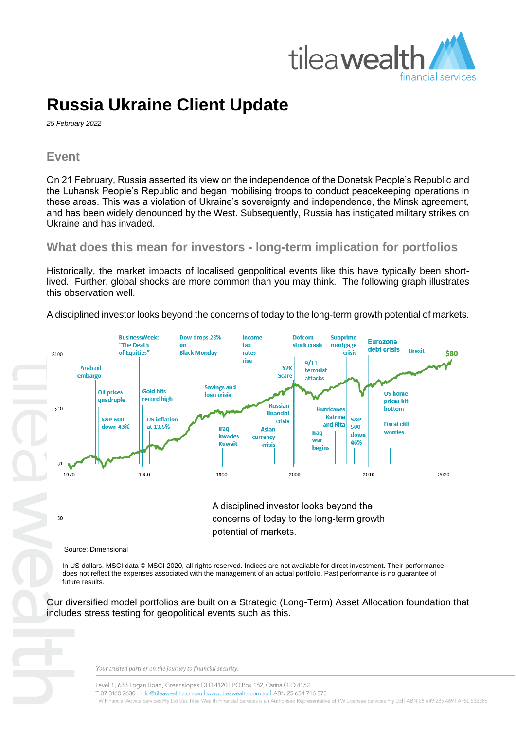

# **Russia Ukraine Client Update**

*25 February 2022*

### **Event**

On 21 February, Russia asserted its view on the independence of the Donetsk People's Republic and the Luhansk People's Republic and began mobilising troops to conduct peacekeeping operations in these areas. This was a violation of Ukraine's sovereignty and independence, the Minsk agreement, and has been widely denounced by the West. Subsequently, Russia has instigated military strikes on Ukraine and has invaded.

# **What does this mean for investors - long-term implication for portfolios**

Historically, the market impacts of localised geopolitical events like this have typically been shortlived. Further, global shocks are more common than you may think. The following graph illustrates this observation well.

A disciplined investor looks beyond the concerns of today to the long-term growth potential of markets.



#### Source: Dimensional

In US dollars. MSCI data © MSCI 2020, all rights reserved. Indices are not available for direct investment. Their performance does not reflect the expenses associated with the management of an actual portfolio. Past performance is no guarantee of future results.

Our diversified model portfolios are built on a Strategic (Long-Term) Asset Allocation foundation that includes stress testing for geopolitical events such as this.

Your trusted partner on the journey to financial security.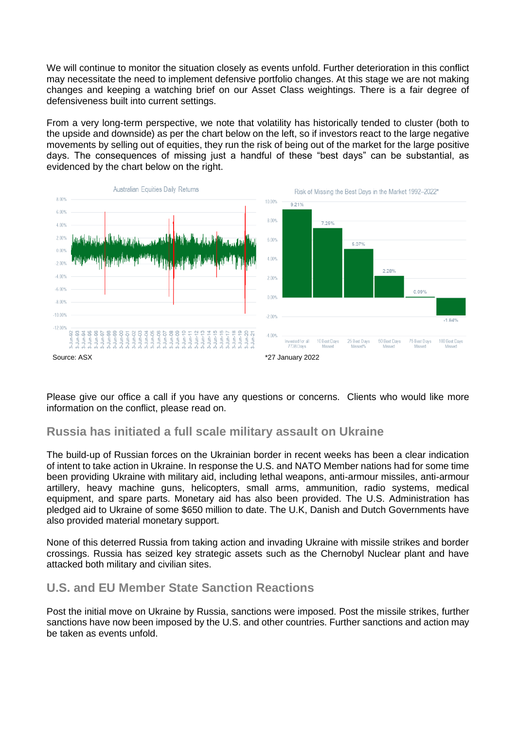We will continue to monitor the situation closely as events unfold. Further deterioration in this conflict may necessitate the need to implement defensive portfolio changes. At this stage we are not making changes and keeping a watching brief on our Asset Class weightings. There is a fair degree of defensiveness built into current settings.

From a very long-term perspective, we note that volatility has historically tended to cluster (both to the upside and downside) as per the chart below on the left, so if investors react to the large negative movements by selling out of equities, they run the risk of being out of the market for the large positive days. The consequences of missing just a handful of these "best days" can be substantial, as evidenced by the chart below on the right.



Please give our office a call if you have any questions or concerns. Clients who would like more information on the conflict, please read on.

#### **Russia has initiated a full scale military assault on Ukraine**

The build-up of Russian forces on the Ukrainian border in recent weeks has been a clear indication of intent to take action in Ukraine. In response the U.S. and NATO Member nations had for some time been providing Ukraine with military aid, including lethal weapons, anti-armour missiles, anti-armour artillery, heavy machine guns, helicopters, small arms, ammunition, radio systems, medical equipment, and spare parts. Monetary aid has also been provided. The U.S. Administration has pledged aid to Ukraine of some \$650 million to date. The U.K, Danish and Dutch Governments have also provided material monetary support.

None of this deterred Russia from taking action and invading Ukraine with missile strikes and border crossings. Russia has seized key strategic assets such as the Chernobyl Nuclear plant and have attacked both military and civilian sites.

# **U.S. and EU Member State Sanction Reactions**

Post the initial move on Ukraine by Russia, sanctions were imposed. Post the missile strikes, further sanctions have now been imposed by the U.S. and other countries. Further sanctions and action may be taken as events unfold.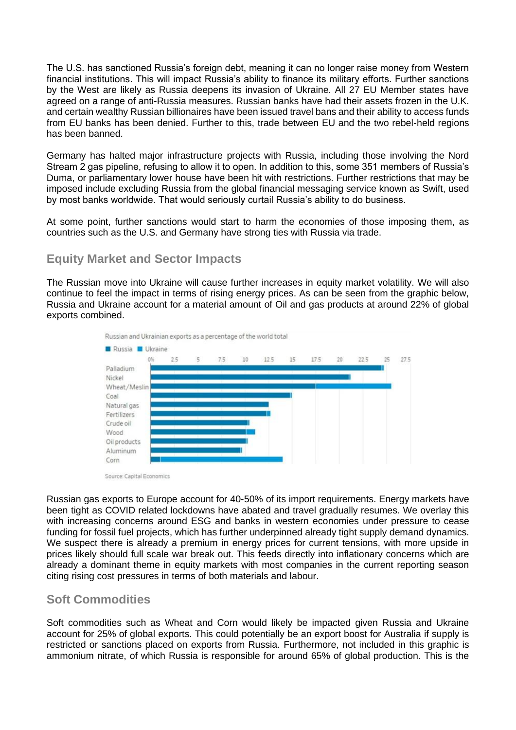The U.S. has sanctioned Russia's foreign debt, meaning it can no longer raise money from Western financial institutions. This will impact Russia's ability to finance its military efforts. Further sanctions by the West are likely as Russia deepens its invasion of Ukraine. All 27 EU Member states have agreed on a range of anti-Russia measures. Russian banks have had their assets frozen in the U.K. and certain wealthy Russian billionaires have been issued travel bans and their ability to access funds from EU banks has been denied. Further to this, trade between EU and the two rebel-held regions has been banned.

Germany has halted major infrastructure projects with Russia, including those involving the Nord Stream 2 gas pipeline, refusing to allow it to open. In addition to this, some 351 members of Russia's Duma, or parliamentary lower house have been hit with restrictions. Further restrictions that may be imposed include excluding Russia from the global financial messaging service known as Swift, used by most banks worldwide. That would seriously curtail Russia's ability to do business.

At some point, further sanctions would start to harm the economies of those imposing them, as countries such as the U.S. and Germany have strong ties with Russia via trade.

# **Equity Market and Sector Impacts**

The Russian move into Ukraine will cause further increases in equity market volatility. We will also continue to feel the impact in terms of rising energy prices. As can be seen from the graphic below, Russia and Ukraine account for a material amount of Oil and gas products at around 22% of global exports combined.



Source: Capital Economics

Russian gas exports to Europe account for 40-50% of its import requirements. Energy markets have been tight as COVID related lockdowns have abated and travel gradually resumes. We overlay this with increasing concerns around ESG and banks in western economies under pressure to cease funding for fossil fuel projects, which has further underpinned already tight supply demand dynamics. We suspect there is already a premium in energy prices for current tensions, with more upside in prices likely should full scale war break out. This feeds directly into inflationary concerns which are already a dominant theme in equity markets with most companies in the current reporting season citing rising cost pressures in terms of both materials and labour.

#### **Soft Commodities**

Soft commodities such as Wheat and Corn would likely be impacted given Russia and Ukraine account for 25% of global exports. This could potentially be an export boost for Australia if supply is restricted or sanctions placed on exports from Russia. Furthermore, not included in this graphic is ammonium nitrate, of which Russia is responsible for around 65% of global production. This is the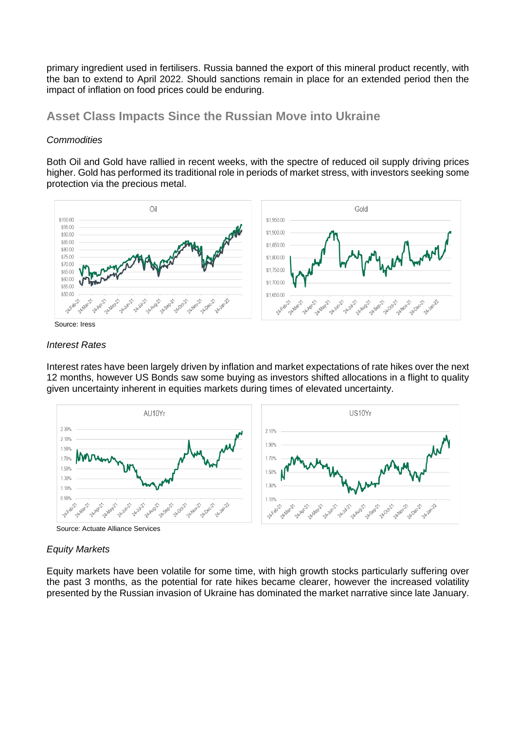primary ingredient used in fertilisers. Russia banned the export of this mineral product recently, with the ban to extend to April 2022. Should sanctions remain in place for an extended period then the impact of inflation on food prices could be enduring.

### **Asset Class Impacts Since the Russian Move into Ukraine**

#### *Commodities*

Both Oil and Gold have rallied in recent weeks, with the spectre of reduced oil supply driving prices higher. Gold has performed its traditional role in periods of market stress, with investors seeking some protection via the precious metal.



Source: Iress

#### *Interest Rates*

Interest rates have been largely driven by inflation and market expectations of rate hikes over the next 12 months, however US Bonds saw some buying as investors shifted allocations in a flight to quality given uncertainty inherent in equities markets during times of elevated uncertainty.



Source: Actuate Alliance Services

#### *Equity Markets*

Equity markets have been volatile for some time, with high growth stocks particularly suffering over the past 3 months, as the potential for rate hikes became clearer, however the increased volatility presented by the Russian invasion of Ukraine has dominated the market narrative since late January.